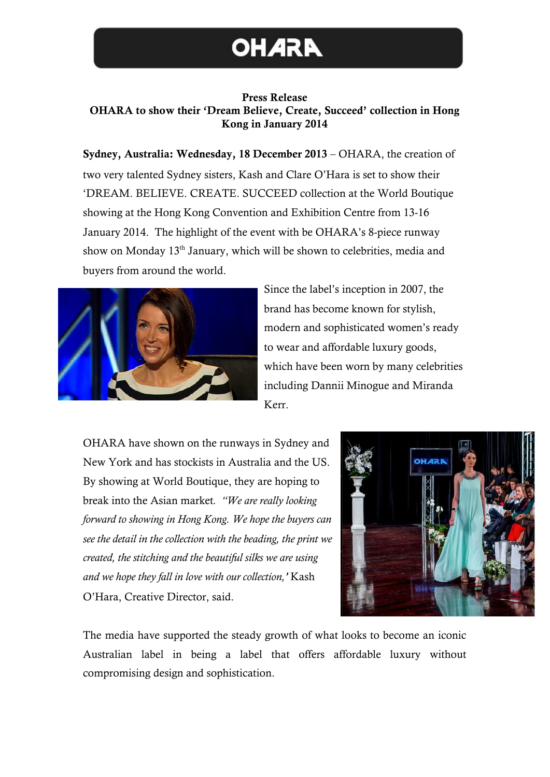## **OHARA**

## Press Release OHARA to show their 'Dream Believe, Create, Succeed' collection in Hong Kong in January 2014

Sydney, Australia: Wednesday, 18 December 2013 – OHARA, the creation of two very talented Sydney sisters, Kash and Clare O'Hara is set to show their 'DREAM. BELIEVE. CREATE. SUCCEED collection at the World Boutique showing at the Hong Kong Convention and Exhibition Centre from 13-16 January 2014. The highlight of the event with be OHARA's 8-piece runway show on Monday 13<sup>th</sup> January, which will be shown to celebrities, media and buyers from around the world.



Since the label's inception in 2007, the brand has become known for stylish, modern and sophisticated women's ready to wear and affordable luxury goods, which have been worn by many celebrities including Dannii Minogue and Miranda Kerr.

OHARA have shown on the runways in Sydney and New York and has stockists in Australia and the US. By showing at World Boutique, they are hoping to break into the Asian market*. "We are really looking forward to showing in Hong Kong. We hope the buyers can see the detail in the collection with the beading, the print we created, the stitching and the beautiful silks we are using and we hope they fall in love with our collection,'* Kash O'Hara, Creative Director, said.



The media have supported the steady growth of what looks to become an iconic Australian label in being a label that offers affordable luxury without compromising design and sophistication.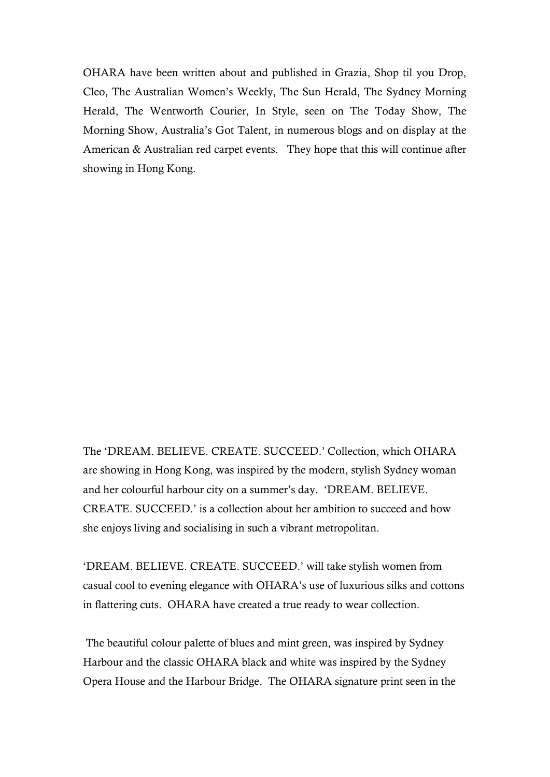OHARA have been written about and published in Grazia, Shop til you Drop, Cleo, The Australian Women's Weekly, The Sun Herald, The Sydney Morning Herald, The Wentworth Courier, In Style, seen on The Today Show, The Morning Show, Australia's Got Talent, in numerous blogs and on display at the American & Australian red carpet events. They hope that this will continue after showing in Hong Kong.

The 'DREAM. BELIEVE. CREATE. SUCCEED.' Collection, which OHARA are showing in Hong Kong, was inspired by the modern, stylish Sydney woman and her colourful harbour city on a summer's day. 'DREAM. BELIEVE. CREATE. SUCCEED.' is a collection about her ambition to succeed and how she enjoys living and socialising in such a vibrant metropolitan.

'DREAM. BELIEVE. CREATE. SUCCEED.' will take stylish women from casual cool to evening elegance with OHARA's use of luxurious silks and cottons in flattering cuts. OHARA have created a true ready to wear collection.

The beautiful colour palette of blues and mint green, was inspired by Sydney Harbour and the classic OHARA black and white was inspired by the Sydney Opera House and the Harbour Bridge. The OHARA signature print seen in the